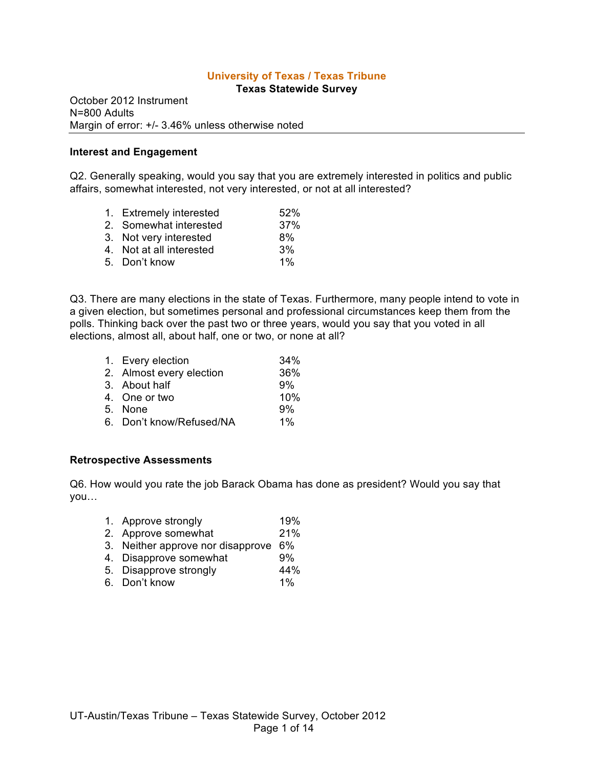# **University of Texas / Texas Tribune**

**Texas Statewide Survey**

October 2012 Instrument N=800 Adults Margin of error: +/- 3.46% unless otherwise noted

## **Interest and Engagement**

Q2. Generally speaking, would you say that you are extremely interested in politics and public affairs, somewhat interested, not very interested, or not at all interested?

1. Extremely interested 52% 2. Somewhat interested 37% 3. Not very interested 8% 4. Not at all interested 3% 5. Don't know 1%

Q3. There are many elections in the state of Texas. Furthermore, many people intend to vote in a given election, but sometimes personal and professional circumstances keep them from the polls. Thinking back over the past two or three years, would you say that you voted in all elections, almost all, about half, one or two, or none at all?

| 1. Every election        | 34%   |
|--------------------------|-------|
| 2. Almost every election | 36%   |
| 3. About half            | 9%    |
| 4. One or two            | 10%   |
| 5. None                  | 9%    |
| 6. Don't know/Refused/NA | $1\%$ |
|                          |       |

## **Retrospective Assessments**

Q6. How would you rate the job Barack Obama has done as president? Would you say that you…

- 1. Approve strongly 19%
- 2. Approve somewhat 21%
- 3. Neither approve nor disapprove 6%
- 4. Disapprove somewhat 9%
- 5. Disapprove strongly 44%
- 6. Don't know 1%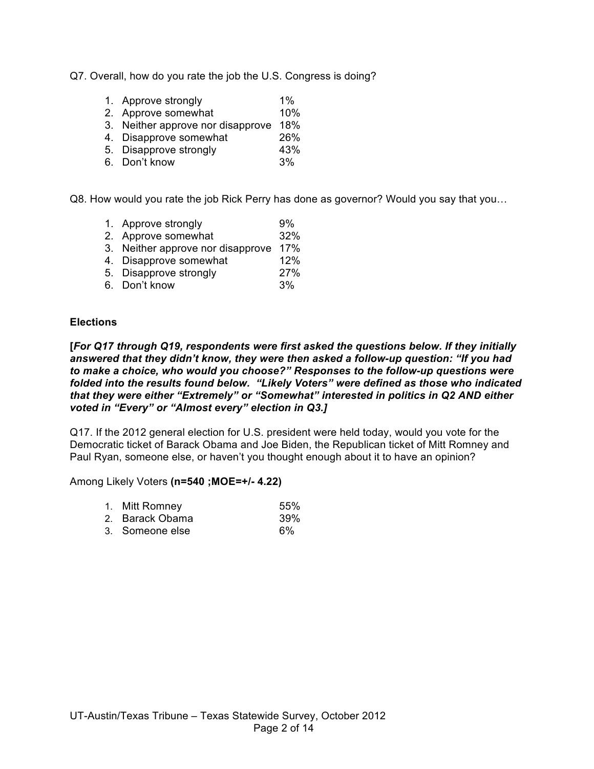Q7. Overall, how do you rate the job the U.S. Congress is doing?

- 1. Approve strongly 1%
- 2. Approve somewhat 10%
- 3. Neither approve nor disapprove 18%
- 4. Disapprove somewhat 26%
- 5. Disapprove strongly 43%
- 6. Don't know 3%

Q8. How would you rate the job Rick Perry has done as governor? Would you say that you…

- 1. Approve strongly 9%
- 2. Approve somewhat 32%
- 3. Neither approve nor disapprove 17%
- 4. Disapprove somewhat 12%
- 5. Disapprove strongly 27%
- 6. Don't know 3%

## **Elections**

**[***For Q17 through Q19, respondents were first asked the questions below. If they initially answered that they didn't know, they were then asked a follow-up question: "If you had to make a choice, who would you choose?" Responses to the follow-up questions were folded into the results found below. "Likely Voters" were defined as those who indicated that they were either "Extremely" or "Somewhat" interested in politics in Q2 AND either voted in "Every" or "Almost every" election in Q3.]*

Q17. If the 2012 general election for U.S. president were held today, would you vote for the Democratic ticket of Barack Obama and Joe Biden, the Republican ticket of Mitt Romney and Paul Ryan, someone else, or haven't you thought enough about it to have an opinion?

|  | 1. Mitt Romney | 55% |
|--|----------------|-----|
|--|----------------|-----|

- 2. Barack Obama 39%
- 3. Someone else 6%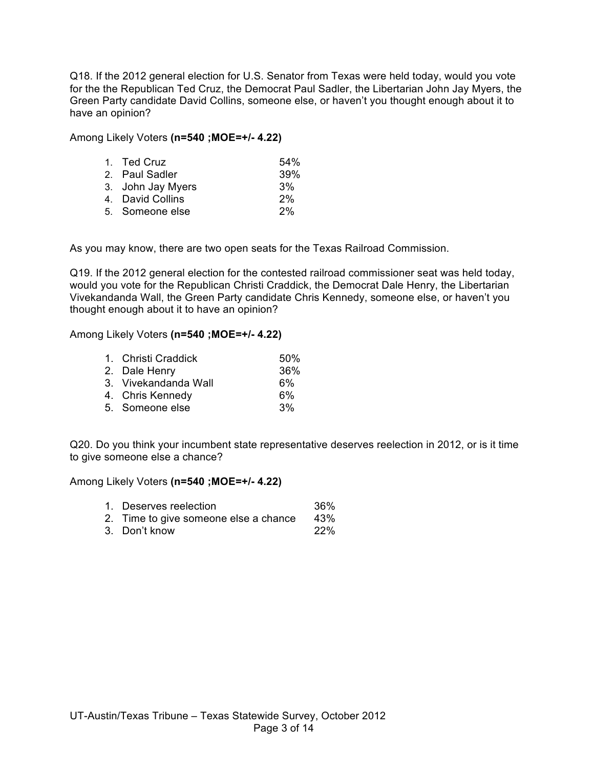Q18. If the 2012 general election for U.S. Senator from Texas were held today, would you vote for the the Republican Ted Cruz, the Democrat Paul Sadler, the Libertarian John Jay Myers, the Green Party candidate David Collins, someone else, or haven't you thought enough about it to have an opinion?

Among Likely Voters **(n=540 ;MOE=+/- 4.22)**

| 1. Ted Cruz       | 54% |
|-------------------|-----|
| 2. Paul Sadler    | 39% |
| 3. John Jay Myers | 3%  |
| 4. David Collins  | 2%  |
| 5. Someone else   | 2%  |

As you may know, there are two open seats for the Texas Railroad Commission.

Q19. If the 2012 general election for the contested railroad commissioner seat was held today, would you vote for the Republican Christi Craddick, the Democrat Dale Henry, the Libertarian Vivekandanda Wall, the Green Party candidate Chris Kennedy, someone else, or haven't you thought enough about it to have an opinion?

Among Likely Voters **(n=540 ;MOE=+/- 4.22)**

| 1. Christi Craddick  | 50% |
|----------------------|-----|
| 2. Dale Henry        | 36% |
| 3. Vivekandanda Wall | 6%  |
| 4. Chris Kennedy     | 6%  |
| 5. Someone else      | 3%  |

Q20. Do you think your incumbent state representative deserves reelection in 2012, or is it time to give someone else a chance?

- 1. Deserves reelection 36%
- 2. Time to give someone else a chance 43%
- 3. Don't know 22%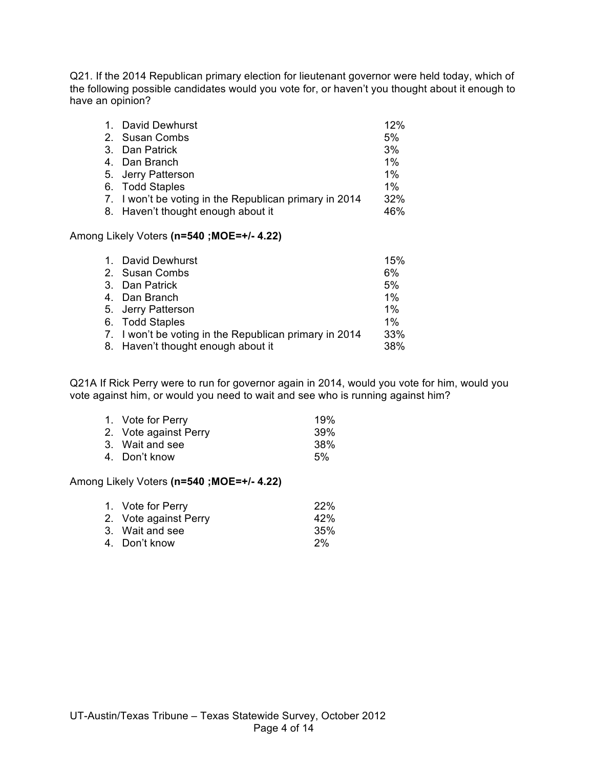Q21. If the 2014 Republican primary election for lieutenant governor were held today, which of the following possible candidates would you vote for, or haven't you thought about it enough to have an opinion?

| 1. David Dewhurst                                      | 12%   |
|--------------------------------------------------------|-------|
| 2. Susan Combs                                         | 5%    |
| 3. Dan Patrick                                         | 3%    |
| 4. Dan Branch                                          | $1\%$ |
| 5. Jerry Patterson                                     | $1\%$ |
| 6. Todd Staples                                        | $1\%$ |
| 7. I won't be voting in the Republican primary in 2014 | 32%   |
| 8. Haven't thought enough about it                     | 46%   |

## Among Likely Voters **(n=540 ;MOE=+/- 4.22)**

| 1. David Dewhurst                                      | 15% |
|--------------------------------------------------------|-----|
| 2. Susan Combs                                         | 6%  |
| 3. Dan Patrick                                         | 5%  |
| 4. Dan Branch                                          | 1%  |
| 5. Jerry Patterson                                     | 1%  |
| 6. Todd Staples                                        | 1%  |
| 7. I won't be voting in the Republican primary in 2014 | 33% |
| 8. Haven't thought enough about it                     | 38% |
|                                                        |     |

Q21A If Rick Perry were to run for governor again in 2014, would you vote for him, would you vote against him, or would you need to wait and see who is running against him?

| 1. Vote for Perry     | 19%             |
|-----------------------|-----------------|
| 2. Vote against Perry | 39 <sup>%</sup> |
| 3. Wait and see       | 38%             |
| 4. Don't know         | 5%              |
|                       |                 |

| 1. Vote for Perry     | <b>22%</b> |
|-----------------------|------------|
| 2. Vote against Perry | 42%        |
| 3. Wait and see       | 35%        |
| 4. Don't know         | 2%         |
|                       |            |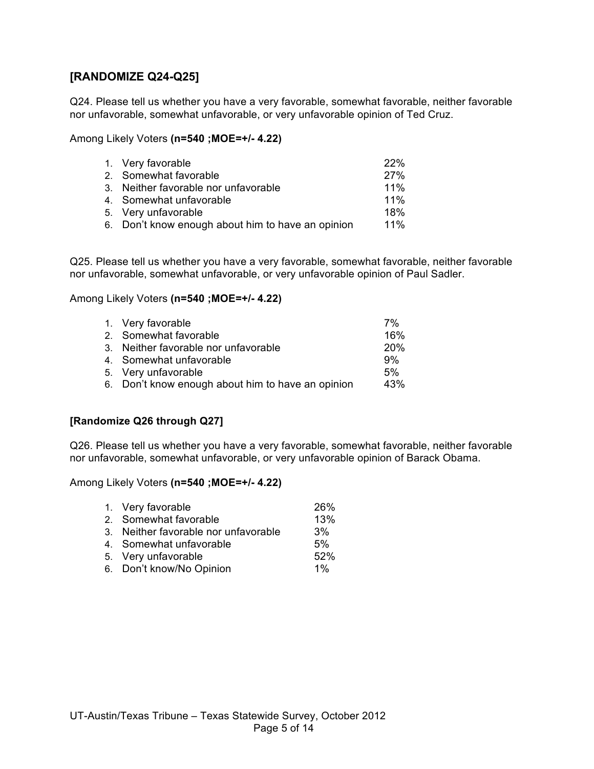# **[RANDOMIZE Q24-Q25]**

Q24. Please tell us whether you have a very favorable, somewhat favorable, neither favorable nor unfavorable, somewhat unfavorable, or very unfavorable opinion of Ted Cruz.

Among Likely Voters **(n=540 ;MOE=+/- 4.22)**

| 1. Very favorable                                 | 22%    |
|---------------------------------------------------|--------|
| 2. Somewhat favorable                             | 27%    |
| 3. Neither favorable nor unfavorable              | $11\%$ |
| 4. Somewhat unfavorable                           | $11\%$ |
| 5. Very unfavorable                               | 18%    |
| 6. Don't know enough about him to have an opinion | $11\%$ |

Q25. Please tell us whether you have a very favorable, somewhat favorable, neither favorable nor unfavorable, somewhat unfavorable, or very unfavorable opinion of Paul Sadler.

## Among Likely Voters **(n=540 ;MOE=+/- 4.22)**

| 1. Very favorable                                 | 7%         |
|---------------------------------------------------|------------|
| 2. Somewhat favorable                             | 16%        |
| 3. Neither favorable nor unfavorable              | <b>20%</b> |
| 4. Somewhat unfavorable                           | 9%         |
| 5. Very unfavorable                               | 5%         |
| 6. Don't know enough about him to have an opinion | 43%        |
|                                                   |            |

## **[Randomize Q26 through Q27]**

Q26. Please tell us whether you have a very favorable, somewhat favorable, neither favorable nor unfavorable, somewhat unfavorable, or very unfavorable opinion of Barack Obama.

| 1. Very favorable                    | 26%   |
|--------------------------------------|-------|
| 2. Somewhat favorable                | 13%   |
| 3. Neither favorable nor unfavorable | 3%    |
| 4. Somewhat unfavorable              | 5%    |
| 5. Very unfavorable                  | 52%   |
| 6. Don't know/No Opinion             | $1\%$ |
|                                      |       |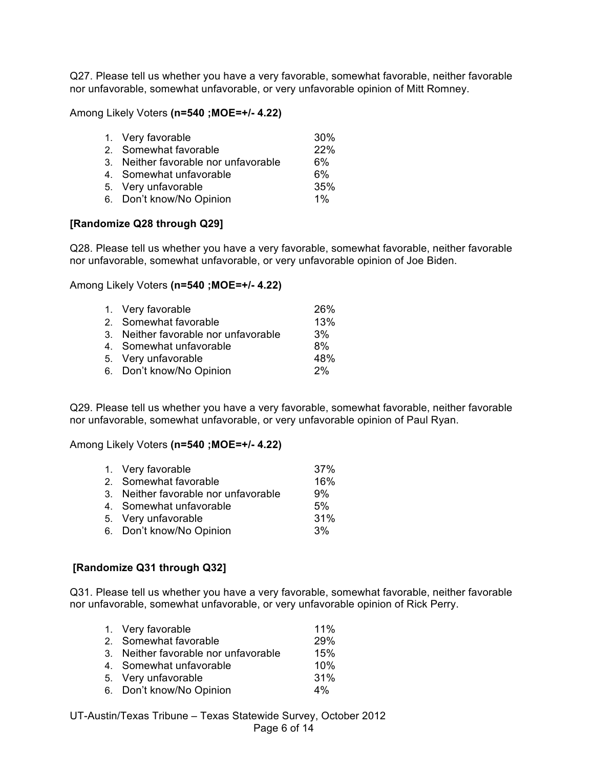Q27. Please tell us whether you have a very favorable, somewhat favorable, neither favorable nor unfavorable, somewhat unfavorable, or very unfavorable opinion of Mitt Romney.

Among Likely Voters **(n=540 ;MOE=+/- 4.22)**

| 1. Very favorable                    | 30%   |
|--------------------------------------|-------|
| 2. Somewhat favorable                | 22%   |
| 3. Neither favorable nor unfavorable | 6%    |
| 4. Somewhat unfavorable              | 6%    |
| 5. Very unfavorable                  | 35%   |
| 6. Don't know/No Opinion             | $1\%$ |
|                                      |       |

## **[Randomize Q28 through Q29]**

Q28. Please tell us whether you have a very favorable, somewhat favorable, neither favorable nor unfavorable, somewhat unfavorable, or very unfavorable opinion of Joe Biden.

## Among Likely Voters **(n=540 ;MOE=+/- 4.22)**

| 1. Very favorable                    | 26% |
|--------------------------------------|-----|
| 2. Somewhat favorable                | 13% |
| 3. Neither favorable nor unfavorable | 3%  |
| 4. Somewhat unfavorable              | 8%  |
| 5. Very unfavorable                  | 48% |
| 6. Don't know/No Opinion             | 2%  |

Q29. Please tell us whether you have a very favorable, somewhat favorable, neither favorable nor unfavorable, somewhat unfavorable, or very unfavorable opinion of Paul Ryan.

#### Among Likely Voters **(n=540 ;MOE=+/- 4.22)**

| 1. Very favorable                    | 37% |
|--------------------------------------|-----|
| 2. Somewhat favorable                | 16% |
| 3. Neither favorable nor unfavorable | 9%  |
| 4. Somewhat unfavorable              | 5%  |
| 5. Very unfavorable                  | 31% |
| 6. Don't know/No Opinion             | 3%  |

## **[Randomize Q31 through Q32]**

Q31. Please tell us whether you have a very favorable, somewhat favorable, neither favorable nor unfavorable, somewhat unfavorable, or very unfavorable opinion of Rick Perry.

| 1. Very favorable                    | 11% |
|--------------------------------------|-----|
| 2. Somewhat favorable                | 29% |
| 3. Neither favorable nor unfavorable | 15% |
| 4. Somewhat unfavorable              | 10% |
| 5. Very unfavorable                  | 31% |
| 6. Don't know/No Opinion             | 4%  |

UT-Austin/Texas Tribune – Texas Statewide Survey, October 2012 Page 6 of 14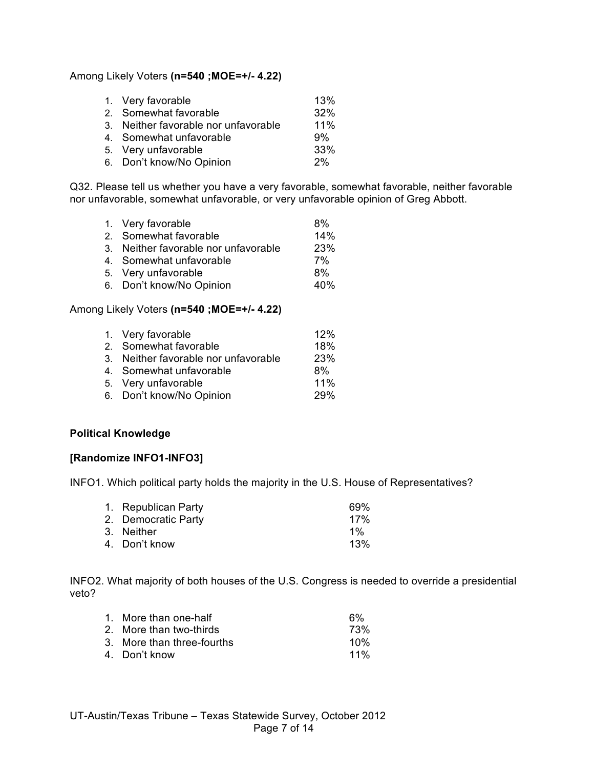Among Likely Voters **(n=540 ;MOE=+/- 4.22)**

| 1. Very favorable                    | 13% |
|--------------------------------------|-----|
| 2. Somewhat favorable                | 32% |
| 3. Neither favorable nor unfavorable | 11% |
| 4. Somewhat unfavorable              | 9%  |
| 5. Very unfavorable                  | 33% |
| 6. Don't know/No Opinion             | 2%  |

Q32. Please tell us whether you have a very favorable, somewhat favorable, neither favorable nor unfavorable, somewhat unfavorable, or very unfavorable opinion of Greg Abbott.

| 1. Very favorable                    | 8%         |
|--------------------------------------|------------|
| 2. Somewhat favorable                | 14%        |
| 3. Neither favorable nor unfavorable | <b>23%</b> |
| 4. Somewhat unfavorable              | 7%         |
| 5. Very unfavorable                  | 8%         |
| 6. Don't know/No Opinion             | 40%        |

## Among Likely Voters **(n=540 ;MOE=+/- 4.22)**

| 1. Very favorable                    | 12%        |
|--------------------------------------|------------|
| 2. Somewhat favorable                | 18%        |
| 3. Neither favorable nor unfavorable | 23%        |
| 4. Somewhat unfavorable              | 8%         |
| 5. Very unfavorable                  | 11%        |
| 6. Don't know/No Opinion             | <b>29%</b> |
|                                      |            |

## **Political Knowledge**

## **[Randomize INFO1-INFO3]**

INFO1. Which political party holds the majority in the U.S. House of Representatives?

| 1. Republican Party | 69% |
|---------------------|-----|
| 2. Democratic Party | 17% |
| 3. Neither          | 1%  |
| 4. Don't know       | 13% |

INFO2. What majority of both houses of the U.S. Congress is needed to override a presidential veto?

| 1. More than one-half      | 6%     |
|----------------------------|--------|
| 2. More than two-thirds    | 73%    |
| 3. More than three-fourths | 10%    |
| 4. Don't know              | $11\%$ |
|                            |        |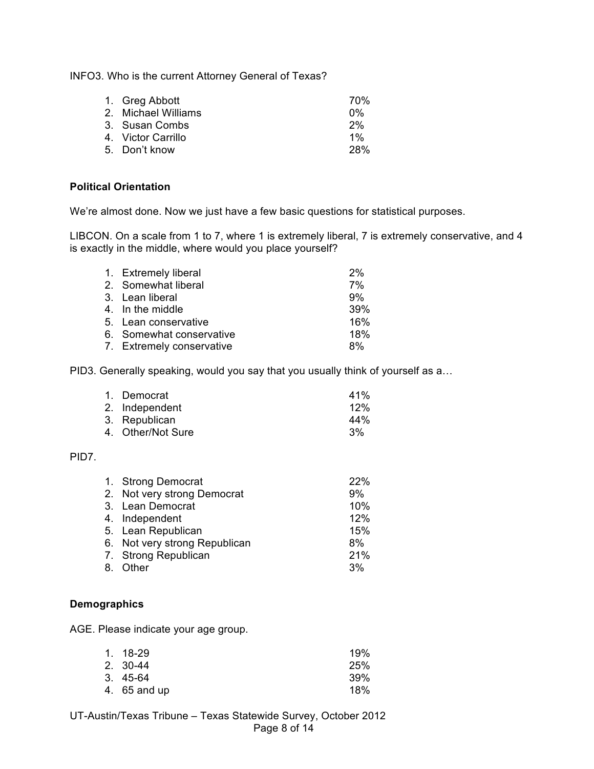INFO3. Who is the current Attorney General of Texas?

| 70%  |
|------|
| በ%   |
| 2%   |
| 1%   |
| -28% |
|      |

## **Political Orientation**

We're almost done. Now we just have a few basic questions for statistical purposes.

LIBCON. On a scale from 1 to 7, where 1 is extremely liberal, 7 is extremely conservative, and 4 is exactly in the middle, where would you place yourself?

| 1. Extremely liberal      | 2%  |
|---------------------------|-----|
| 2. Somewhat liberal       | 7%  |
| 3. Lean liberal           | 9%  |
| 4. In the middle          | 39% |
| 5. Lean conservative      | 16% |
| 6. Somewhat conservative  | 18% |
| 7. Extremely conservative | 8%  |

PID3. Generally speaking, would you say that you usually think of yourself as a…

| 1. Democrat       | 41% |
|-------------------|-----|
| 2. Independent    | 12% |
| 3. Republican     | 44% |
| 4. Other/Not Sure | 3%  |

## PID7.

| 1. Strong Democrat            | 22% |
|-------------------------------|-----|
| 2. Not very strong Democrat   | 9%  |
| 3. Lean Democrat              | 10% |
| 4. Independent                | 12% |
| 5. Lean Republican            | 15% |
| 6. Not very strong Republican | 8%  |
| 7. Strong Republican          | 21% |
| 8. Other                      | 3%  |

## **Demographics**

AGE. Please indicate your age group.

| 1. 18-29     | 19%  |
|--------------|------|
| 2. 30-44     | 25%  |
| 3. 45-64     | .39% |
| 4. 65 and up | 18%  |

UT-Austin/Texas Tribune – Texas Statewide Survey, October 2012 Page 8 of 14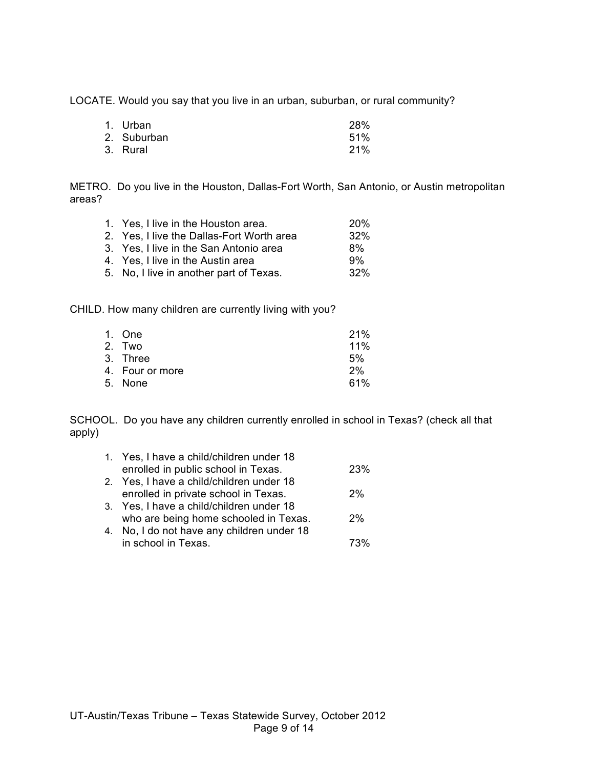LOCATE. Would you say that you live in an urban, suburban, or rural community?

| 1. Urban    | <b>28%</b> |
|-------------|------------|
| 2. Suburban | 51%        |
| 3. Rural    | 21%        |

METRO. Do you live in the Houston, Dallas-Fort Worth, San Antonio, or Austin metropolitan areas?

| 1. Yes, I live in the Houston area.       | <b>20%</b> |
|-------------------------------------------|------------|
| 2. Yes, I live the Dallas-Fort Worth area | 32%        |
| 3. Yes, I live in the San Antonio area    | 8%         |
| 4. Yes, I live in the Austin area         | 9%         |
| 5. No, I live in another part of Texas.   | 32%        |
|                                           |            |

CHILD. How many children are currently living with you?

| 1. One          | 21% |
|-----------------|-----|
| 2. Two          | 11% |
| 3. Three        | 5%  |
| 4. Four or more | 2%  |
| 5. None         | 61% |
|                 |     |

SCHOOL. Do you have any children currently enrolled in school in Texas? (check all that apply)

| 1. Yes, I have a child/children under 18   |            |
|--------------------------------------------|------------|
| enrolled in public school in Texas.        | <b>23%</b> |
| 2. Yes, I have a child/children under 18   |            |
| enrolled in private school in Texas.       | 2%         |
| 3. Yes, I have a child/children under 18   |            |
| who are being home schooled in Texas.      | 2%         |
| 4. No, I do not have any children under 18 |            |
| in school in Texas.                        |            |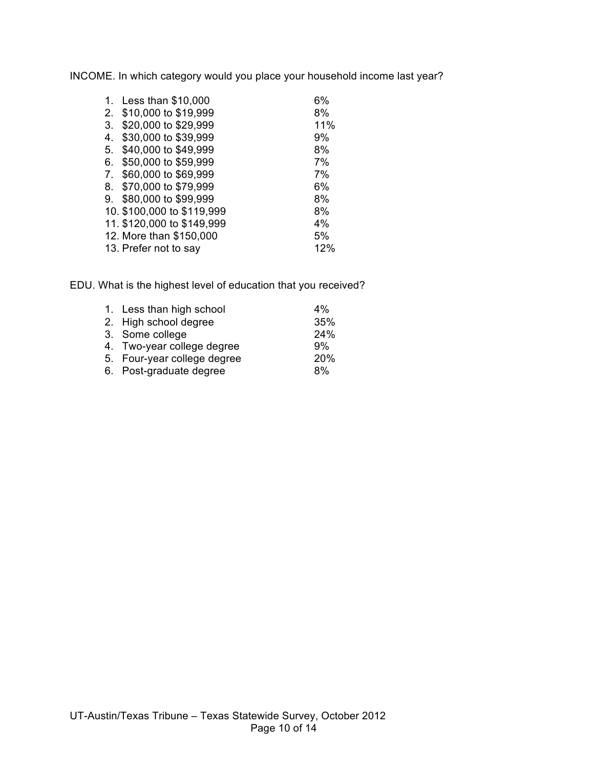INCOME. In which category would you place your household income last year?

| $\mathbf{1}$ . | Less than \$10,000         | 6%  |
|----------------|----------------------------|-----|
| 2.             | \$10,000 to \$19,999       | 8%  |
| 3.             | \$20,000 to \$29,999       | 11% |
| 4.             | \$30,000 to \$39,999       | 9%  |
| 5.             | \$40,000 to \$49,999       | 8%  |
| 6.             | \$50,000 to \$59,999       | 7%  |
| 7.             | \$60,000 to \$69,999       | 7%  |
| 8.             | \$70,000 to \$79,999       | 6%  |
| 9.             | \$80,000 to \$99,999       | 8%  |
|                | 10. \$100,000 to \$119,999 | 8%  |
|                | 11. \$120,000 to \$149,999 | 4%  |
|                | 12. More than \$150,000    | 5%  |
|                | 13. Prefer not to say      | 12% |
|                |                            |     |

EDU. What is the highest level of education that you received?

| 1. Less than high school    | $4\%$ |
|-----------------------------|-------|
| 2. High school degree       | 35%   |
| 3. Some college             | 24%   |
| 4. Two-year college degree  | 9%    |
| 5. Four-year college degree | 20%   |
| 6. Post-graduate degree     | 8%    |
|                             |       |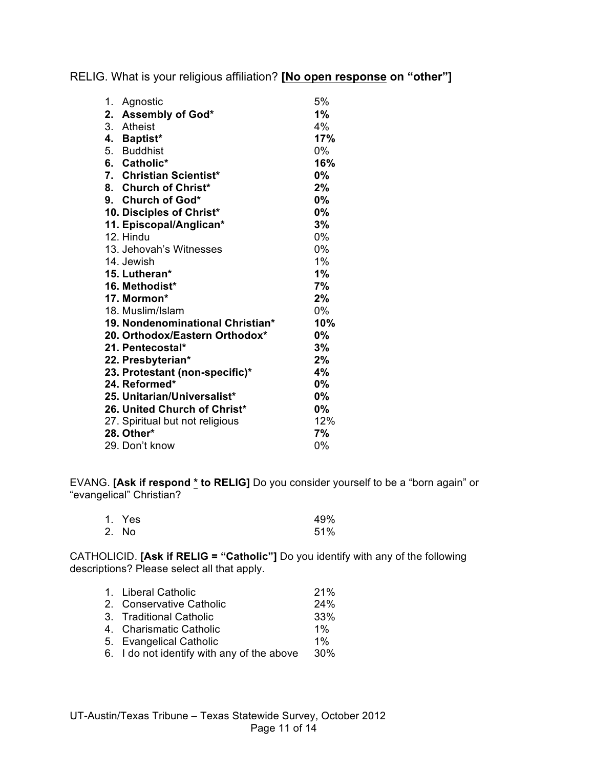RELIG. What is your religious affiliation? **[No open response on "other"]**

| 1. | Agnostic                         | 5%        |
|----|----------------------------------|-----------|
|    | 2. Assembly of God*              | 1%        |
|    | 3. Atheist                       | 4%        |
|    | 4. Baptist*                      | 17%       |
|    | 5. Buddhist                      | $0\%$     |
|    | 6. Catholic*                     | 16%       |
|    | 7. Christian Scientist*          | 0%        |
|    | 8. Church of Christ*             | 2%        |
|    | 9. Church of God*                | 0%        |
|    | 10. Disciples of Christ*         | 0%        |
|    | 11. Episcopal/Anglican*          | 3%        |
|    | 12. Hindu                        | $0\%$     |
|    | 13. Jehovah's Witnesses          | $0\%$     |
|    | 14. Jewish                       | 1%        |
|    | 15. Lutheran*                    | 1%        |
|    | 16. Methodist*                   | 7%        |
|    | 17. Mormon*                      | 2%        |
|    | 18. Muslim/Islam                 | 0%        |
|    | 19. Nondenominational Christian* | 10%       |
|    | 20. Orthodox/Eastern Orthodox*   | <b>0%</b> |
|    | 21. Pentecostal*                 | 3%        |
|    | 22. Presbyterian*                | 2%        |
|    | 23. Protestant (non-specific)*   | 4%        |
|    | 24. Reformed*                    | 0%        |
|    | 25. Unitarian/Universalist*      | 0%        |
|    | 26. United Church of Christ*     | 0%        |
|    | 27. Spiritual but not religious  | 12%       |
|    | 28. Other*                       | 7%        |
|    | 29. Don't know                   | 0%        |

EVANG. **[Ask if respond \* to RELIG]** Do you consider yourself to be a "born again" or "evangelical" Christian?

| 1. Yes | 49% |
|--------|-----|
| 2. No  | 51% |

CATHOLICID. **[Ask if RELIG = "Catholic"]** Do you identify with any of the following descriptions? Please select all that apply.

| 1. Liberal Catholic                        | 21%   |
|--------------------------------------------|-------|
| 2. Conservative Catholic                   | 24%   |
| 3. Traditional Catholic                    | 33%   |
| 4. Charismatic Catholic                    | $1\%$ |
| 5. Evangelical Catholic                    | $1\%$ |
| 6. I do not identify with any of the above | 30%   |
|                                            |       |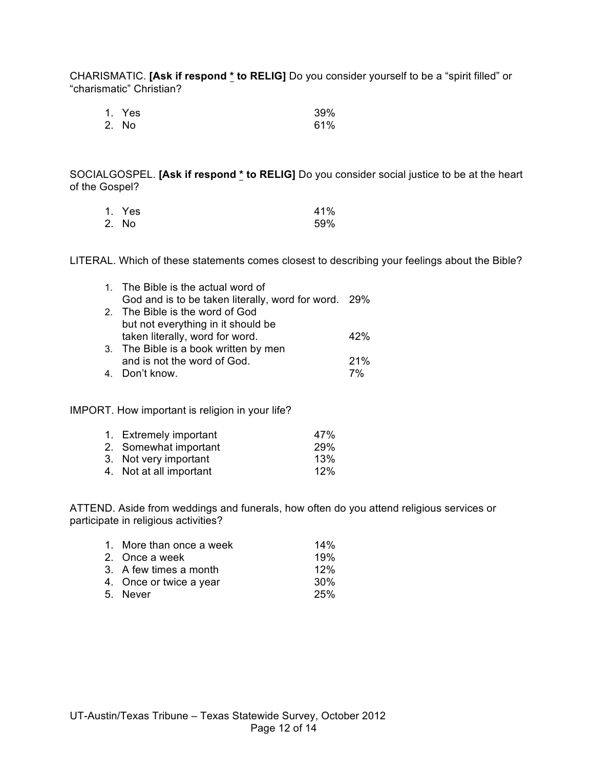CHARISMATIC. **[Ask if respond \* to RELIG]** Do you consider yourself to be a "spirit filled" or "charismatic" Christian?

| 1. Yes | 39% |
|--------|-----|
| 2. No  | 61% |

SOCIALGOSPEL. **[Ask if respond \* to RELIG]** Do you consider social justice to be at the heart of the Gospel?

| 1. Yes | 41% |
|--------|-----|
| 2. No  | 59% |

LITERAL. Which of these statements comes closest to describing your feelings about the Bible?

| 1. The Bible is the actual word of                   |     |
|------------------------------------------------------|-----|
| God and is to be taken literally, word for word. 29% |     |
| 2. The Bible is the word of God                      |     |
| but not everything in it should be                   |     |
| taken literally, word for word.                      | 42% |
| 3. The Bible is a book written by men                |     |
| and is not the word of God.                          | 21% |
| 4. Don't know.                                       | 7%  |

#### IMPORT. How important is religion in your life?

| 1. Extremely important  | 47% |
|-------------------------|-----|
| 2. Somewhat important   | 29% |
| 3. Not very important   | 13% |
| 4. Not at all important | 12% |

ATTEND. Aside from weddings and funerals, how often do you attend religious services or participate in religious activities?

| 1. More than once a week | 14%             |
|--------------------------|-----------------|
| 2. Once a week           | 19%             |
| 3. A few times a month   | 12%             |
| 4. Once or twice a year  | 30 <sup>%</sup> |
| 5. Never                 | 25%             |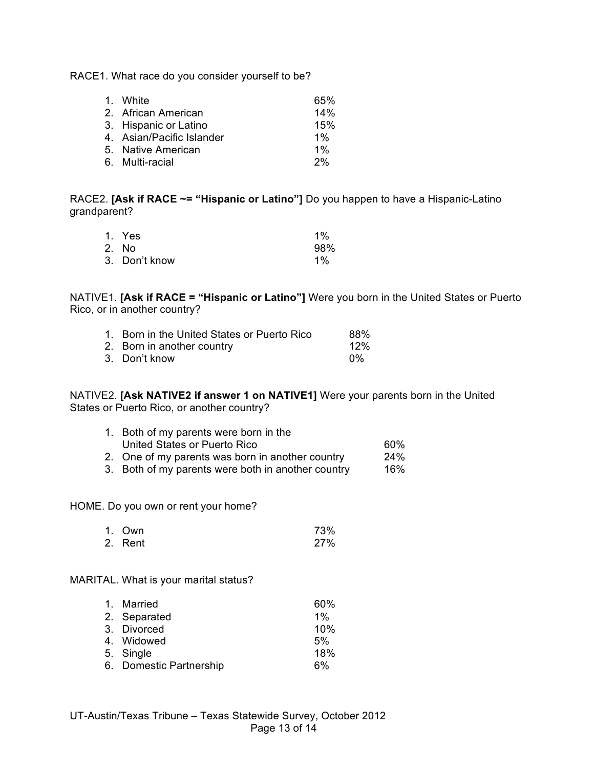RACE1. What race do you consider yourself to be?

| 1. White                  | 65%   |
|---------------------------|-------|
| 2. African American       | 14%   |
| 3. Hispanic or Latino     | 15%   |
| 4. Asian/Pacific Islander | $1\%$ |
| 5. Native American        | $1\%$ |
| 6. Multi-racial           | 2%    |

RACE2. **[Ask if RACE ~= "Hispanic or Latino"]** Do you happen to have a Hispanic-Latino grandparent?

| 1. Yes        | $1\%$ |
|---------------|-------|
| 2. No         | 98%   |
| 3. Don't know | $1\%$ |

NATIVE1. **[Ask if RACE = "Hispanic or Latino"]** Were you born in the United States or Puerto Rico, or in another country?

| 1. Born in the United States or Puerto Rico | 88% |
|---------------------------------------------|-----|
| 2. Born in another country                  | 12% |
| 3. Don't know                               | በ%  |

NATIVE2. **[Ask NATIVE2 if answer 1 on NATIVE1]** Were your parents born in the United States or Puerto Rico, or another country?

| 1. Both of my parents were born in the             |     |
|----------------------------------------------------|-----|
| United States or Puerto Rico                       | 60% |
| 2. One of my parents was born in another country   | 24% |
| 3. Both of my parents were both in another country | 16% |

HOME. Do you own or rent your home?

| 1. Own  | 73% |
|---------|-----|
| 2. Rent | 27% |

## MARITAL. What is your marital status?

| 1. Married              | 60%   |
|-------------------------|-------|
| 2. Separated            | $1\%$ |
| 3. Divorced             | 10%   |
| 4. Widowed              | 5%    |
| 5. Single               | 18%   |
| 6. Domestic Partnership | 6%    |
|                         |       |